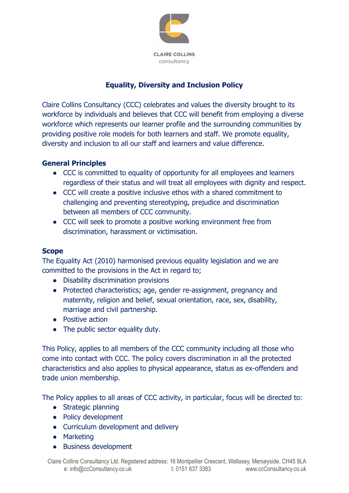

# **Equality, Diversity and Inclusion Policy**

Claire Collins Consultancy (CCC) celebrates and values the diversity brought to its workforce by individuals and believes that CCC will benefit from employing a diverse workforce which represents our learner profile and the surrounding communities by providing positive role models for both learners and staff. We promote equality, diversity and inclusion to all our staff and learners and value difference.

# **General Principles**

- CCC is committed to equality of opportunity for all employees and learners regardless of their status and will treat all employees with dignity and respect.
- CCC will create a positive inclusive ethos with a shared commitment to challenging and preventing stereotyping, prejudice and discrimination between all members of CCC community.
- CCC will seek to promote a positive working environment free from discrimination, harassment or victimisation.

## **Scope**

The Equality Act (2010) harmonised previous equality legislation and we are committed to the provisions in the Act in regard to;

- Disability discrimination provisions
- Protected characteristics; age, gender re-assignment, pregnancy and maternity, religion and belief, sexual orientation, race, sex, disability, marriage and civil partnership.
- Positive action
- The public sector equality duty.

This Policy, applies to all members of the CCC community including all those who come into contact with CCC. The policy covers discrimination in all the protected characteristics and also applies to physical appearance, status as ex-offenders and trade union membership.

The Policy applies to all areas of CCC activity, in particular, focus will be directed to:

- Strategic planning
- Policy development
- Curriculum development and delivery
- Marketing
- Business development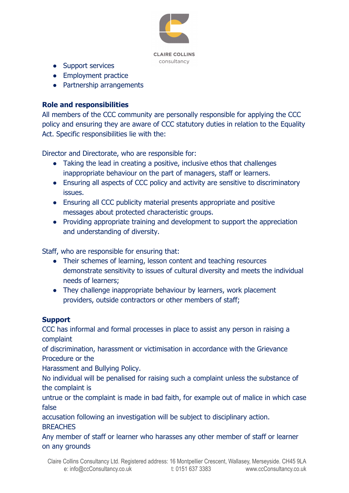

**CLAIRE COLLINS** consultancy

- Support services
- Employment practice
- Partnership arrangements

### **Role and responsibilities**

All members of the CCC community are personally responsible for applying the CCC policy and ensuring they are aware of CCC statutory duties in relation to the Equality Act. Specific responsibilities lie with the:

Director and Directorate, who are responsible for:

- Taking the lead in creating a positive, inclusive ethos that challenges inappropriate behaviour on the part of managers, staff or learners.
- Ensuring all aspects of CCC policy and activity are sensitive to discriminatory issues.
- Ensuring all CCC publicity material presents appropriate and positive messages about protected characteristic groups.
- Providing appropriate training and development to support the appreciation and understanding of diversity.

Staff, who are responsible for ensuring that:

- Their schemes of learning, lesson content and teaching resources demonstrate sensitivity to issues of cultural diversity and meets the individual needs of learners;
- They challenge inappropriate behaviour by learners, work placement providers, outside contractors or other members of staff;

#### **Support**

CCC has informal and formal processes in place to assist any person in raising a complaint

of discrimination, harassment or victimisation in accordance with the Grievance Procedure or the

Harassment and Bullying Policy.

No individual will be penalised for raising such a complaint unless the substance of the complaint is

untrue or the complaint is made in bad faith, for example out of malice in which case false

accusation following an investigation will be subject to disciplinary action. **BREACHES** 

Any member of staff or learner who harasses any other member of staff or learner on any grounds